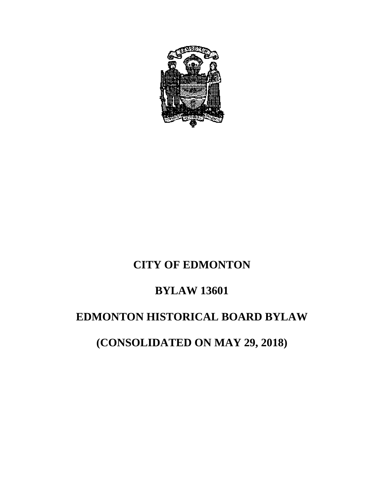

# **CITY OF EDMONTON**

### **BYLAW 13601**

# **EDMONTON HISTORICAL BOARD BYLAW**

**(CONSOLIDATED ON MAY 29, 2018)**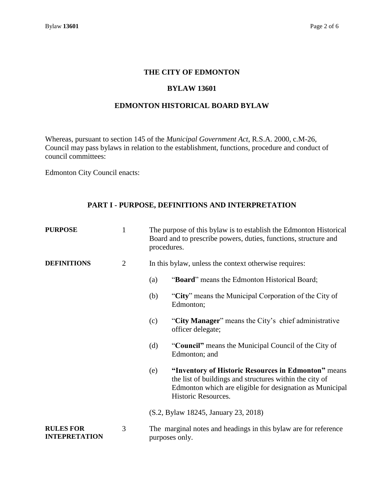#### **THE CITY OF EDMONTON**

#### **BYLAW 13601**

#### **EDMONTON HISTORICAL BOARD BYLAW**

Whereas, pursuant to section 145 of the *Municipal Government Act*, R.S.A. 2000, c.M-26, Council may pass bylaws in relation to the establishment, functions, procedure and conduct of council committees:

Edmonton City Council enacts:

### **PART I - PURPOSE, DEFINITIONS AND INTERPRETATION**

| <b>PURPOSE</b>                           | $\mathbf{1}$   | The purpose of this bylaw is to establish the Edmonton Historical<br>Board and to prescribe powers, duties, functions, structure and<br>procedures. |                                                                                                                                                                                                   |
|------------------------------------------|----------------|-----------------------------------------------------------------------------------------------------------------------------------------------------|---------------------------------------------------------------------------------------------------------------------------------------------------------------------------------------------------|
| <b>DEFINITIONS</b>                       | $\overline{2}$ | In this bylaw, unless the context otherwise requires:                                                                                               |                                                                                                                                                                                                   |
|                                          |                | (a)                                                                                                                                                 | "Board" means the Edmonton Historical Board;                                                                                                                                                      |
|                                          |                | (b)                                                                                                                                                 | "City" means the Municipal Corporation of the City of<br>Edmonton;                                                                                                                                |
|                                          |                | (c)                                                                                                                                                 | "City Manager" means the City's chief administrative<br>officer delegate;                                                                                                                         |
|                                          |                | (d)                                                                                                                                                 | "Council" means the Municipal Council of the City of<br>Edmonton; and                                                                                                                             |
|                                          |                | (e)                                                                                                                                                 | "Inventory of Historic Resources in Edmonton" means<br>the list of buildings and structures within the city of<br>Edmonton which are eligible for designation as Municipal<br>Historic Resources. |
|                                          |                |                                                                                                                                                     | (S.2, Bylaw 18245, January 23, 2018)                                                                                                                                                              |
| <b>RULES FOR</b><br><b>INTEPRETATION</b> | 3              |                                                                                                                                                     | The marginal notes and headings in this bylaw are for reference<br>purposes only.                                                                                                                 |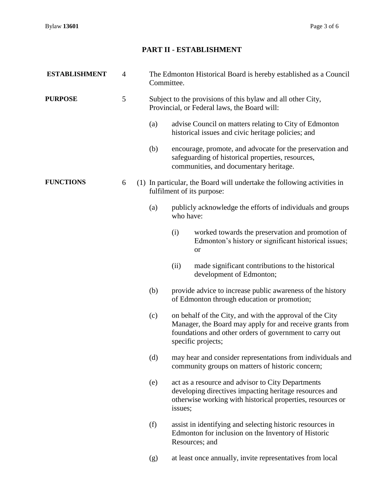### **PART II - ESTABLISHMENT**

| <b>ESTABLISHMENT</b> | 4 | The Edmonton Historical Board is hereby established as a Council<br>Committee.                              |           |                                                                                                                                                                                                       |  |
|----------------------|---|-------------------------------------------------------------------------------------------------------------|-----------|-------------------------------------------------------------------------------------------------------------------------------------------------------------------------------------------------------|--|
| <b>PURPOSE</b>       | 5 | Subject to the provisions of this bylaw and all other City,<br>Provincial, or Federal laws, the Board will: |           |                                                                                                                                                                                                       |  |
|                      |   | (a)                                                                                                         |           | advise Council on matters relating to City of Edmonton<br>historical issues and civic heritage policies; and                                                                                          |  |
|                      |   | (b)                                                                                                         |           | encourage, promote, and advocate for the preservation and<br>safeguarding of historical properties, resources,<br>communities, and documentary heritage.                                              |  |
| <b>FUNCTIONS</b>     | 6 |                                                                                                             |           | (1) In particular, the Board will undertake the following activities in<br>fulfilment of its purpose:                                                                                                 |  |
|                      |   | (a)                                                                                                         | who have: | publicly acknowledge the efforts of individuals and groups                                                                                                                                            |  |
|                      |   |                                                                                                             | (i)       | worked towards the preservation and promotion of<br>Edmonton's history or significant historical issues;<br>or                                                                                        |  |
|                      |   |                                                                                                             | (ii)      | made significant contributions to the historical<br>development of Edmonton;                                                                                                                          |  |
|                      |   | (b)                                                                                                         |           | provide advice to increase public awareness of the history<br>of Edmonton through education or promotion;                                                                                             |  |
|                      |   | (c)                                                                                                         |           | on behalf of the City, and with the approval of the City<br>Manager, the Board may apply for and receive grants from<br>foundations and other orders of government to carry out<br>specific projects; |  |
|                      |   | (d)                                                                                                         |           | may hear and consider representations from individuals and<br>community groups on matters of historic concern;                                                                                        |  |
|                      |   | (e)                                                                                                         | issues;   | act as a resource and advisor to City Departments<br>developing directives impacting heritage resources and<br>otherwise working with historical properties, resources or                             |  |
|                      |   | (f)                                                                                                         |           | assist in identifying and selecting historic resources in<br>Edmonton for inclusion on the Inventory of Historic<br>Resources; and                                                                    |  |
|                      |   | (g)                                                                                                         |           | at least once annually, invite representatives from local                                                                                                                                             |  |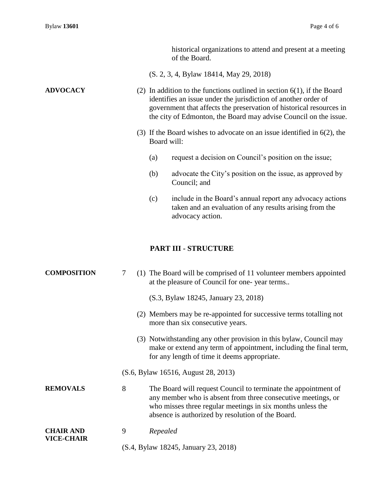|                    |   |                                      | historical organizations to attend and present at a meeting<br>of the Board.                                                                                                                                                                                                            |
|--------------------|---|--------------------------------------|-----------------------------------------------------------------------------------------------------------------------------------------------------------------------------------------------------------------------------------------------------------------------------------------|
|                    |   |                                      | (S. 2, 3, 4, Bylaw 18414, May 29, 2018)                                                                                                                                                                                                                                                 |
| <b>ADVOCACY</b>    |   |                                      | (2) In addition to the functions outlined in section $6(1)$ , if the Board<br>identifies an issue under the jurisdiction of another order of<br>government that affects the preservation of historical resources in<br>the city of Edmonton, the Board may advise Council on the issue. |
|                    |   | Board will:                          | (3) If the Board wishes to advocate on an issue identified in $6(2)$ , the                                                                                                                                                                                                              |
|                    |   | (a)                                  | request a decision on Council's position on the issue;                                                                                                                                                                                                                                  |
|                    |   | (b)                                  | advocate the City's position on the issue, as approved by<br>Council; and                                                                                                                                                                                                               |
|                    |   | (c)                                  | include in the Board's annual report any advocacy actions<br>taken and an evaluation of any results arising from the<br>advocacy action.                                                                                                                                                |
|                    |   |                                      | <b>PART III - STRUCTURE</b>                                                                                                                                                                                                                                                             |
| <b>COMPOSITION</b> | 7 |                                      | (1) The Board will be comprised of 11 volunteer members appointed<br>at the pleasure of Council for one-year terms                                                                                                                                                                      |
|                    |   |                                      | (S.3, Bylaw 18245, January 23, 2018)                                                                                                                                                                                                                                                    |
|                    |   |                                      | (2) Members may be re-appointed for successive terms totalling not<br>more than six consecutive years.                                                                                                                                                                                  |
|                    |   |                                      | (3) Notwithstanding any other provision in this bylaw, Council may<br>make or extend any term of appointment, including the final term,<br>for any length of time it deems appropriate.                                                                                                 |
|                    |   |                                      | (S.6, Bylaw 16516, August 28, 2013)                                                                                                                                                                                                                                                     |
| <b>REMOVALS</b>    | 8 |                                      | The Board will request Council to terminate the appointment of<br>any member who is absent from three consecutive meetings, or<br>who misses three regular meetings in six months unless the<br>absence is authorized by resolution of the Board.                                       |
| <b>CHAIR AND</b>   | 9 | Repealed                             |                                                                                                                                                                                                                                                                                         |
| <b>VICE-CHAIR</b>  |   | (S.4, Bylaw 18245, January 23, 2018) |                                                                                                                                                                                                                                                                                         |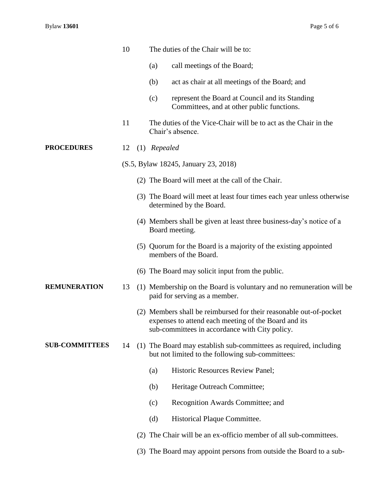|                       | 10 |     | The duties of the Chair will be to:                                                                                                                                          |
|-----------------------|----|-----|------------------------------------------------------------------------------------------------------------------------------------------------------------------------------|
|                       |    |     | call meetings of the Board;<br>(a)                                                                                                                                           |
|                       |    |     | act as chair at all meetings of the Board; and<br>(b)                                                                                                                        |
|                       |    |     | represent the Board at Council and its Standing<br>(c)<br>Committees, and at other public functions.                                                                         |
|                       | 11 |     | The duties of the Vice-Chair will be to act as the Chair in the<br>Chair's absence.                                                                                          |
| <b>PROCEDURES</b>     | 12 |     | (1) Repealed                                                                                                                                                                 |
|                       |    |     | (S.5, Bylaw 18245, January 23, 2018)                                                                                                                                         |
|                       |    |     | (2) The Board will meet at the call of the Chair.                                                                                                                            |
|                       |    |     | (3) The Board will meet at least four times each year unless otherwise<br>determined by the Board.                                                                           |
|                       |    |     | (4) Members shall be given at least three business-day's notice of a<br>Board meeting.                                                                                       |
|                       |    |     | (5) Quorum for the Board is a majority of the existing appointed<br>members of the Board.                                                                                    |
|                       |    |     | (6) The Board may solicit input from the public.                                                                                                                             |
| <b>REMUNERATION</b>   | 13 |     | (1) Membership on the Board is voluntary and no remuneration will be<br>paid for serving as a member.                                                                        |
|                       |    |     | (2) Members shall be reimbursed for their reasonable out-of-pocket<br>expenses to attend each meeting of the Board and its<br>sub-committees in accordance with City policy. |
| <b>SUB-COMMITTEES</b> | 14 |     | (1) The Board may establish sub-committees as required, including<br>but not limited to the following sub-committees:                                                        |
|                       |    |     | <b>Historic Resources Review Panel;</b><br>(a)                                                                                                                               |
|                       |    |     | Heritage Outreach Committee;<br>(b)                                                                                                                                          |
|                       |    |     | (c)<br>Recognition Awards Committee; and                                                                                                                                     |
|                       |    |     | (d)<br>Historical Plaque Committee.                                                                                                                                          |
|                       |    | (2) | The Chair will be an ex-officio member of all sub-committees.                                                                                                                |
|                       |    |     | (3) The Board may appoint persons from outside the Board to a sub-                                                                                                           |